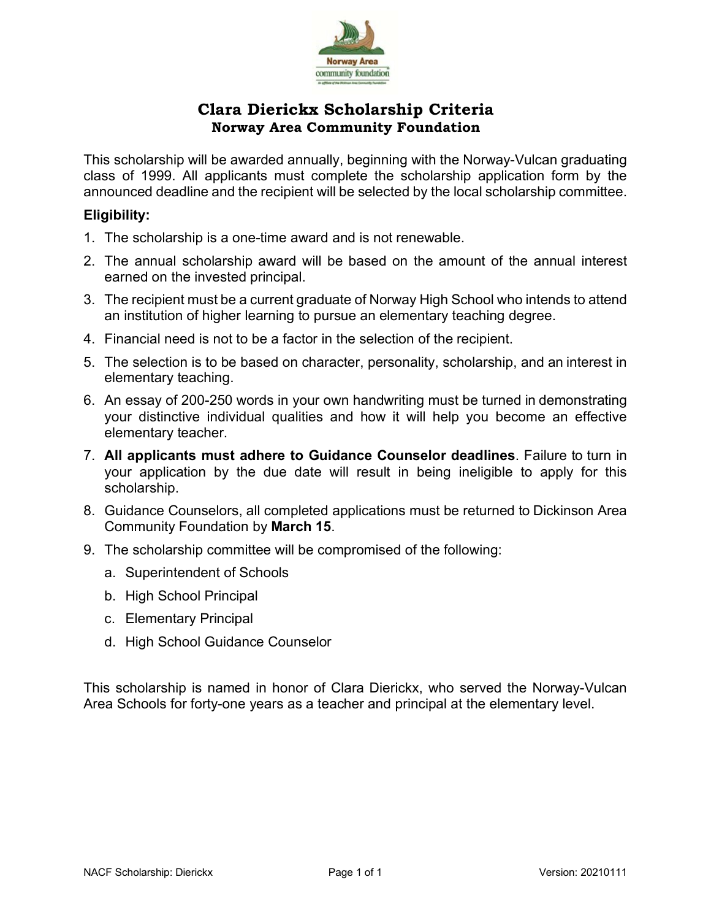

## **Clara Dierickx Scholarship Criteria Norway Area Community Foundation**

This scholarship will be awarded annually, beginning with the Norway-Vulcan graduating class of 1999. All applicants must complete the scholarship application form by the announced deadline and the recipient will be selected by the local scholarship committee.

## **Eligibility:**

- 1. The scholarship is a one-time award and is not renewable.
- 2. The annual scholarship award will be based on the amount of the annual interest earned on the invested principal.
- 3. The recipient must be a current graduate of Norway High School who intends to attend an institution of higher learning to pursue an elementary teaching degree.
- 4. Financial need is not to be a factor in the selection of the recipient.
- 5. The selection is to be based on character, personality, scholarship, and an interest in elementary teaching.
- 6. An essay of 200-250 words in your own handwriting must be turned in demonstrating your distinctive individual qualities and how it will help you become an effective elementary teacher.
- 7. **All applicants must adhere to Guidance Counselor deadlines**. Failure to turn in your application by the due date will result in being ineligible to apply for this scholarship.
- 8. Guidance Counselors, all completed applications must be returned to Dickinson Area Community Foundation by **March 15**.
- 9. The scholarship committee will be compromised of the following:
	- a. Superintendent of Schools
	- b. High School Principal
	- c. Elementary Principal
	- d. High School Guidance Counselor

This scholarship is named in honor of Clara Dierickx, who served the Norway-Vulcan Area Schools for forty-one years as a teacher and principal at the elementary level.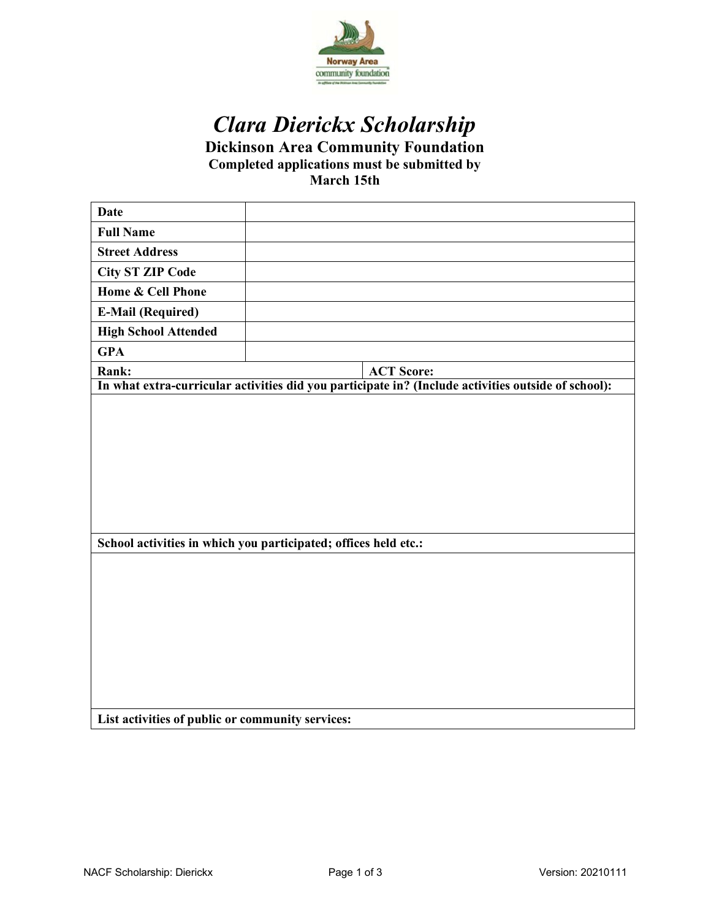

# *Clara Dierickx Scholarship*

**Dickinson Area Community Foundation**

**Completed applications must be submitted by** 

**March 15th**

| <b>Date</b>                                                                                         |                                                                 |  |  |  |
|-----------------------------------------------------------------------------------------------------|-----------------------------------------------------------------|--|--|--|
| <b>Full Name</b>                                                                                    |                                                                 |  |  |  |
| <b>Street Address</b>                                                                               |                                                                 |  |  |  |
| <b>City ST ZIP Code</b>                                                                             |                                                                 |  |  |  |
| <b>Home &amp; Cell Phone</b>                                                                        |                                                                 |  |  |  |
| <b>E-Mail (Required)</b>                                                                            |                                                                 |  |  |  |
| <b>High School Attended</b>                                                                         |                                                                 |  |  |  |
| <b>GPA</b>                                                                                          |                                                                 |  |  |  |
| Rank:                                                                                               | <b>ACT Score:</b>                                               |  |  |  |
| In what extra-curricular activities did you participate in? (Include activities outside of school): |                                                                 |  |  |  |
|                                                                                                     |                                                                 |  |  |  |
|                                                                                                     |                                                                 |  |  |  |
|                                                                                                     |                                                                 |  |  |  |
|                                                                                                     |                                                                 |  |  |  |
|                                                                                                     |                                                                 |  |  |  |
|                                                                                                     |                                                                 |  |  |  |
|                                                                                                     |                                                                 |  |  |  |
|                                                                                                     | School activities in which you participated; offices held etc.: |  |  |  |
|                                                                                                     |                                                                 |  |  |  |
|                                                                                                     |                                                                 |  |  |  |
|                                                                                                     |                                                                 |  |  |  |
|                                                                                                     |                                                                 |  |  |  |
|                                                                                                     |                                                                 |  |  |  |
|                                                                                                     |                                                                 |  |  |  |
|                                                                                                     |                                                                 |  |  |  |
|                                                                                                     |                                                                 |  |  |  |
|                                                                                                     |                                                                 |  |  |  |
| List activities of public or community services:                                                    |                                                                 |  |  |  |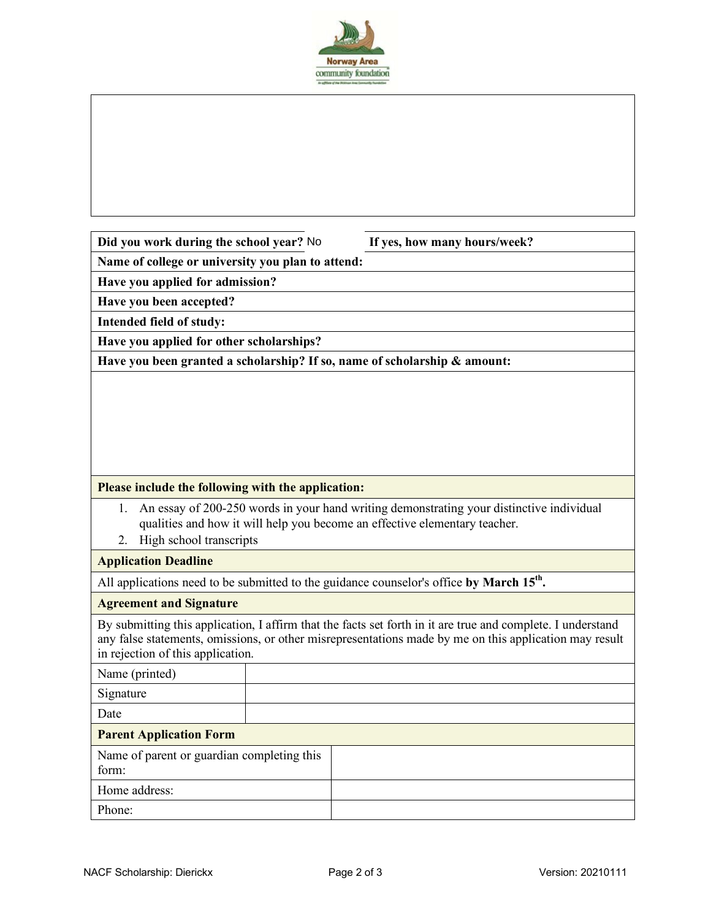

If yes, how many hours/week?

**Name of college or university you plan to attend:**

**Have you applied for admission?**

**Have you been accepted?**

**Intended field of study:**

**Have you applied for other scholarships?**

**Have you been granted a scholarship? If so, name of scholarship & amount:**

#### **Please include the following with the application:**

- 1. An essay of 200-250 words in your hand writing demonstrating your distinctive individual qualities and how it will help you become an effective elementary teacher.
- 2. High school transcripts

#### **Application Deadline**

All applications need to be submitted to the guidance counselor's office by March 15<sup>th</sup>.

#### **Agreement and Signature**

By submitting this application, I affirm that the facts set forth in it are true and complete. I understand any false statements, omissions, or other misrepresentations made by me on this application may result in rejection of this application.

| Name (printed)                                      |  |  |
|-----------------------------------------------------|--|--|
| Signature                                           |  |  |
| Date                                                |  |  |
| <b>Parent Application Form</b>                      |  |  |
| Name of parent or guardian completing this<br>form: |  |  |
| Home address:                                       |  |  |
| Phone:                                              |  |  |